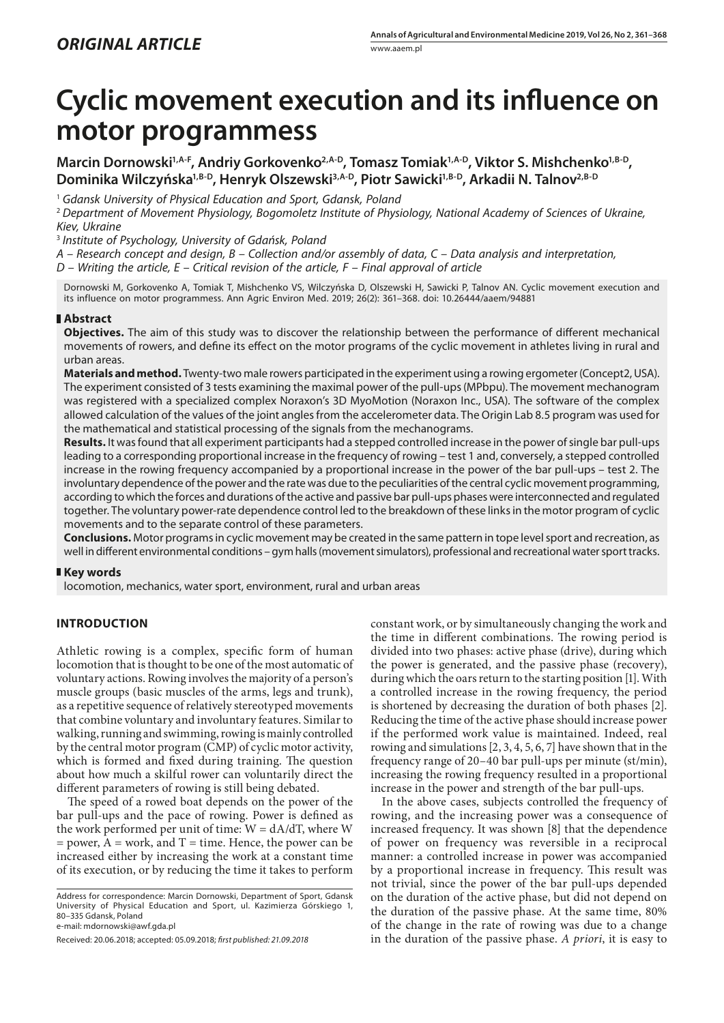# **Cyclic movement execution and its influence on motor programmess**

Marcin Dornowski<sup>1,A-F</sup>, Andriy Gorkovenko<sup>2,A-D</sup>, Tomasz Tomiak<sup>1,A-D</sup>, Viktor S. Mishchenko<sup>1,B-D</sup>, Dominika Wilczyńska<sup>1,B-D</sup>, Henryk Olszewski<sup>3,A-D</sup>, Piotr Sawicki<sup>1,B-D</sup>, Arkadii N. Talnov<sup>2,B-D</sup>

<sup>1</sup> *Gdansk University of Physical Education and Sport, Gdansk, Poland*

<sup>2</sup> *Department of Movement Physiology, Bogomoletz Institute of Physiology, National Academy of Sciences of Ukraine, Kiev, Ukraine*

<sup>3</sup> *Institute of Psychology, University of Gdańsk, Poland*

*A – Research concept and design, B – Collection and/or assembly of data, C – Data analysis and interpretation,* 

*D – Writing the article, E – Critical revision of the article, F – Final approval of article*

Dornowski M, Gorkovenko A, Tomiak T, Mishchenko VS, Wilczyńska D, Olszewski H, Sawicki P, Talnov AN. Cyclic movement execution and its influence on motor programmess. Ann Agric Environ Med. 2019; 26(2): 361–368. doi: 10.26444/aaem/94881

## **Abstract**

**Objectives.** The aim of this study was to discover the relationship between the performance of different mechanical movements of rowers, and define its effect on the motor programs of the cyclic movement in athletes living in rural and urban areas.

**Materials and method.** Twenty-two male rowers participated in the experiment using a rowing ergometer (Concept2, USA). The experiment consisted of 3 tests examining the maximal power of the pull-ups (MPbpu). The movement mechanogram was registered with a specialized complex Noraxon's 3D MyoMotion (Noraxon Inc., USA). The software of the complex allowed calculation of the values of the joint angles from the accelerometer data. The Origin Lab 8.5 program was used for the mathematical and statistical processing of the signals from the mechanograms.

**Results.** It was found that all experiment participants had a stepped controlled increase in the power of single bar pull-ups leading to a corresponding proportional increase in the frequency of rowing – test 1 and, conversely, a stepped controlled increase in the rowing frequency accompanied by a proportional increase in the power of the bar pull-ups – test 2. The involuntary dependence of the power and the rate was due to the peculiarities of the central cyclic movement programming, according to which the forces and durations of the active and passive bar pull-ups phases were interconnected and regulated together. The voluntary power-rate dependence control led to the breakdown of these links in the motor program of cyclic movements and to the separate control of these parameters.

**Conclusions.** Motor programs in cyclic movement may be created in the same pattern in tope level sport and recreation, as well in different environmental conditions – gym halls (movement simulators), professional and recreational water sport tracks.

## **Key words**

locomotion, mechanics, water sport, environment, rural and urban areas

## **INTRODUCTION**

Athletic rowing is a complex, specific form of human locomotion that is thought to be one of the most automatic of voluntary actions. Rowing involves the majority of a person's muscle groups (basic muscles of the arms, legs and trunk), as a repetitive sequence of relatively stereotyped movements that combine voluntary and involuntary features. Similar to walking, running and swimming, rowing is mainly controlled by the central motor program (CMP) of cyclic motor activity, which is formed and fixed during training. The question about how much a skilful rower can voluntarily direct the different parameters of rowing is still being debated.

The speed of a rowed boat depends on the power of the bar pull-ups and the pace of rowing. Power is defined as the work performed per unit of time:  $W = dA/dT$ , where W  $=$  power,  $A =$  work, and  $T =$  time. Hence, the power can be increased either by increasing the work at a constant time of its execution, or by reducing the time it takes to perform

Address for correspondence: Marcin Dornowski, Department of Sport, Gdansk University of Physical Education and Sport, ul. Kazimierza Górskiego 1, 80–335 Gdansk, Poland

e-mail: mdornowski@awf.gda.pl

constant work, or by simultaneously changing the work and the time in different combinations. The rowing period is divided into two phases: active phase (drive), during which the power is generated, and the passive phase (recovery), during which the oars return to the starting position [1]. With a controlled increase in the rowing frequency, the period is shortened by decreasing the duration of both phases [2]. Reducing the time of the active phase should increase power if the performed work value is maintained. Indeed, real rowing and simulations [2, 3, 4, 5, 6, 7] have shown that in the frequency range of 20–40 bar pull-ups per minute (st/min), increasing the rowing frequency resulted in a proportional increase in the power and strength of the bar pull-ups.

In the above cases, subjects controlled the frequency of rowing, and the increasing power was a consequence of increased frequency. It was shown [8] that the dependence of power on frequency was reversible in a reciprocal manner: a controlled increase in power was accompanied by a proportional increase in frequency. This result was not trivial, since the power of the bar pull-ups depended on the duration of the active phase, but did not depend on the duration of the passive phase. At the same time, 80% of the change in the rate of rowing was due to a change in the duration of the passive phase. *A priori*, it is easy to

Received: 20.06.2018; accepted: 05.09.2018; *first published: 21.09.2018*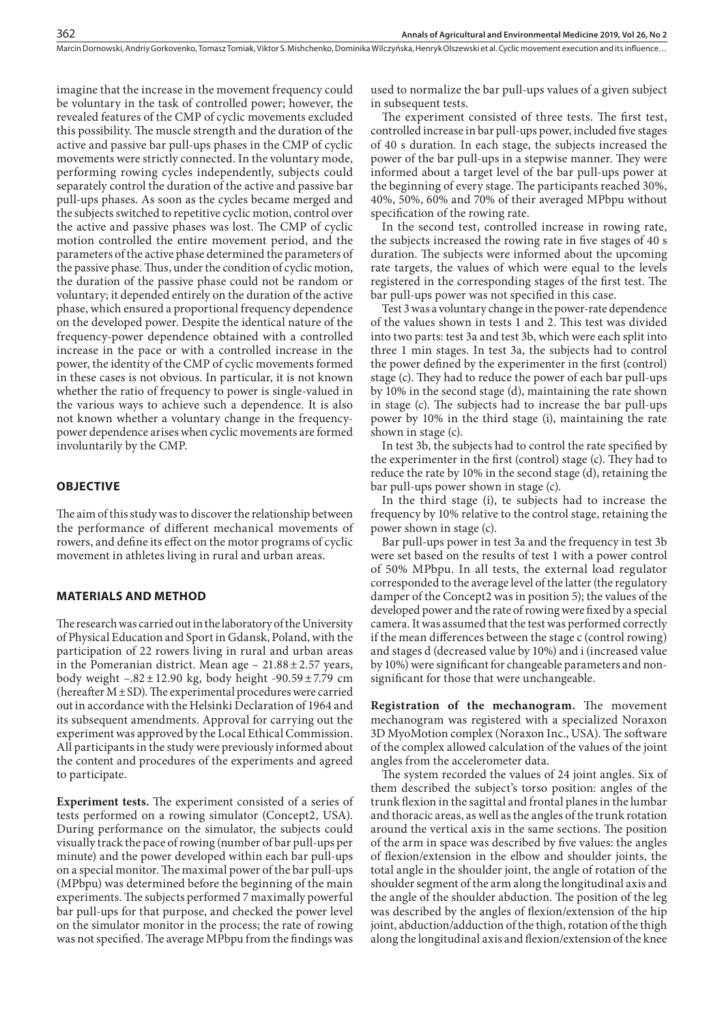imagine that the increase in the movement frequency could be voluntary in the task of controlled power; however, the revealed features of the CMP of cyclic movements excluded this possibility. The muscle strength and the duration of the active and passive bar pull-ups phases in the CMP of cyclic movements were strictly connected. In the voluntary mode, performing rowing cycles independently, subjects could separately control the duration of the active and passive bar pull-ups phases. As soon as the cycles became merged and the subjects switched to repetitive cyclic motion, control over the active and passive phases was lost. The CMP of cyclic motion controlled the entire movement period, and the parameters of the active phase determined the parameters of the passive phase. Thus, under the condition of cyclic motion, the duration of the passive phase could not be random or voluntary; it depended entirely on the duration of the active phase, which ensured a proportional frequency dependence on the developed power. Despite the identical nature of the frequency-power dependence obtained with a controlled increase in the pace or with a controlled increase in the power, the identity of the CMP of cyclic movements formed in these cases is not obvious. In particular, it is not known whether the ratio of frequency to power is single-valued in the various ways to achieve such a dependence. It is also not known whether a voluntary change in the frequencypower dependence arises when cyclic movements are formed involuntarily by the CMP.

## **OBJECTIVE**

The aim of this study was to discover the relationship between the performance of different mechanical movements of rowers, and define its effect on the motor programs of cyclic movement in athletes living in rural and urban areas.

## **MATERIALS AND METHOD**

The research was carried out in the laboratory of the University of Physical Education and Sport in Gdansk, Poland, with the participation of 22 rowers living in rural and urban areas in the Pomeranian district. Mean age  $-21.88 \pm 2.57$  years, body weight  $-.82 \pm 12.90$  kg, body height  $-90.59 \pm 7.79$  cm (hereafter  $M \pm SD$ ). The experimental procedures were carried out in accordance with the Helsinki Declaration of 1964 and its subsequent amendments. Approval for carrying out the experiment was approved by the Local Ethical Commission. All participants in the study were previously informed about the content and procedures of the experiments and agreed to participate.

**Experiment tests.** The experiment consisted of a series of tests performed on a rowing simulator (Concept2, USA). During performance on the simulator, the subjects could visually track the pace of rowing (number of bar pull-ups per minute) and the power developed within each bar pull-ups on a special monitor. The maximal power of the bar pull-ups (MPbpu) was determined before the beginning of the main experiments. The subjects performed 7 maximally powerful bar pull-ups for that purpose, and checked the power level on the simulator monitor in the process; the rate of rowing was not specified. The average MPbpu from the findings was

used to normalize the bar pull-ups values of a given subject in subsequent tests.

The experiment consisted of three tests. The first test, controlled increase in bar pull-ups power, included five stages of 40 s duration. In each stage, the subjects increased the power of the bar pull-ups in a stepwise manner. They were informed about a target level of the bar pull-ups power at the beginning of every stage. The participants reached 30%, 40%, 50%, 60% and 70% of their averaged MPbpu without specification of the rowing rate.

In the second test, controlled increase in rowing rate, the subjects increased the rowing rate in five stages of 40 s duration. The subjects were informed about the upcoming rate targets, the values of which were equal to the levels registered in the corresponding stages of the first test. The bar pull-ups power was not specified in this case.

Test 3 was a voluntary change in the power-rate dependence of the values shown in tests 1 and 2. This test was divided into two parts: test 3a and test 3b, which were each split into three 1 min stages. In test 3a, the subjects had to control the power defined by the experimenter in the first (control) stage (c). They had to reduce the power of each bar pull-ups by 10% in the second stage (d), maintaining the rate shown in stage (c). The subjects had to increase the bar pull-ups power by 10% in the third stage (i), maintaining the rate shown in stage (c).

In test 3b, the subjects had to control the rate specified by the experimenter in the first (control) stage (c). They had to reduce the rate by 10% in the second stage (d), retaining the bar pull-ups power shown in stage (c).

In the third stage (i), te subjects had to increase the frequency by 10% relative to the control stage, retaining the power shown in stage (c).

Bar pull-ups power in test 3a and the frequency in test 3b were set based on the results of test 1 with a power control of 50% MPbpu. In all tests, the external load regulator corresponded to the average level of the latter (the regulatory damper of the Concept2 was in position 5); the values of the developed power and the rate of rowing were fixed by a special camera. It was assumed that the test was performed correctly if the mean differences between the stage c (control rowing) and stages d (decreased value by 10%) and i (increased value by 10%) were significant for changeable parameters and nonsignificant for those that were unchangeable.

**Registration of the mechanogram.** The movement mechanogram was registered with a specialized Noraxon 3D MyoMotion complex (Noraxon Inc., USA). The software of the complex allowed calculation of the values of the joint angles from the accelerometer data.

The system recorded the values of 24 joint angles. Six of them described the subject's torso position: angles of the trunk flexion in the sagittal and frontal planes in the lumbar and thoracic areas, as well as the angles of the trunk rotation around the vertical axis in the same sections. The position of the arm in space was described by five values: the angles of flexion/extension in the elbow and shoulder joints, the total angle in the shoulder joint, the angle of rotation of the shoulder segment of the arm along the longitudinal axis and the angle of the shoulder abduction. The position of the leg was described by the angles of flexion/extension of the hip joint, abduction/adduction of the thigh, rotation of the thigh along the longitudinal axis and flexion/extension of the knee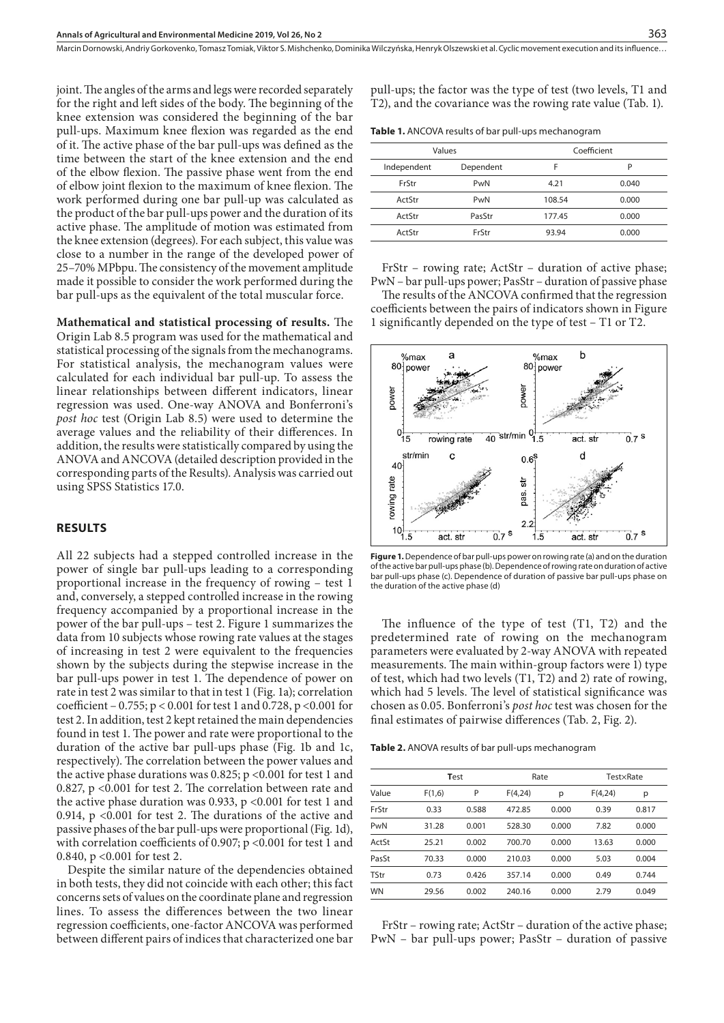joint. The angles of the arms and legs were recorded separately for the right and left sides of the body. The beginning of the knee extension was considered the beginning of the bar pull-ups. Maximum knee flexion was regarded as the end of it. The active phase of the bar pull-ups was defined as the time between the start of the knee extension and the end of the elbow flexion. The passive phase went from the end of elbow joint flexion to the maximum of knee flexion. The work performed during one bar pull-up was calculated as the product of the bar pull-ups power and the duration of its active phase. The amplitude of motion was estimated from the knee extension (degrees). For each subject, this value was close to a number in the range of the developed power of 25–70% MPbpu. The consistency of the movement amplitude made it possible to consider the work performed during the bar pull-ups as the equivalent of the total muscular force.

**Mathematical and statistical processing of results.** The Origin Lab 8.5 program was used for the mathematical and statistical processing of the signals from the mechanograms. For statistical analysis, the mechanogram values were calculated for each individual bar pull-up. To assess the linear relationships between different indicators, linear regression was used. One-way ANOVA and Bonferroni's *post hoc* test (Origin Lab 8.5) were used to determine the average values and the reliability of their differences. In addition, the results were statistically compared by using the ANOVA and ANCOVA (detailed description provided in the corresponding parts of the Results). Analysis was carried out using SPSS Statistics 17.0.

#### **RESULTS**

All 22 subjects had a stepped controlled increase in the power of single bar pull-ups leading to a corresponding proportional increase in the frequency of rowing – test 1 and, conversely, a stepped controlled increase in the rowing frequency accompanied by a proportional increase in the power of the bar pull-ups – test 2. Figure 1 summarizes the data from 10 subjects whose rowing rate values at the stages of increasing in test 2 were equivalent to the frequencies shown by the subjects during the stepwise increase in the bar pull-ups power in test 1. The dependence of power on rate in test 2 was similar to that in test 1 (Fig. 1a); correlation coefficient – 0.755; p < 0.001 for test 1 and 0.728, p <0.001 for test 2. In addition, test 2 kept retained the main dependencies found in test 1. The power and rate were proportional to the duration of the active bar pull-ups phase (Fig. 1b and 1c, respectively). The correlation between the power values and the active phase durations was 0.825;  $p < 0.001$  for test 1 and 0.827, p <0.001 for test 2. The correlation between rate and the active phase duration was 0.933, p <0.001 for test 1 and 0.914, p <0.001 for test 2. The durations of the active and passive phases of the bar pull-ups were proportional (Fig. 1d), with correlation coefficients of 0.907; p <0.001 for test 1 and 0.840, p <0.001 for test 2.

Despite the similar nature of the dependencies obtained in both tests, they did not coincide with each other; this fact concerns sets of values on the coordinate plane and regression lines. To assess the differences between the two linear regression coefficients, one-factor ANCOVA was performed between different pairs of indices that characterized one bar pull-ups; the factor was the type of test (two levels, T1 and T2), and the covariance was the rowing rate value (Tab. 1).

| Table 1. ANCOVA results of bar pull-ups mechanogram |  |  |
|-----------------------------------------------------|--|--|
|-----------------------------------------------------|--|--|

| Values      |           | Coefficient |       |  |
|-------------|-----------|-------------|-------|--|
| Independent | Dependent |             | P     |  |
| FrStr       | PwN       | 4.21        | 0.040 |  |
| ActStr      | PwN       | 108.54      | 0.000 |  |
| ActStr      | PasStr    | 177.45      | 0.000 |  |
| ActStr      | FrStr     | 93.94       | 0.000 |  |

FrStr – rowing rate; ActStr – duration of active phase; PwN – bar pull-ups power; PasStr – duration of passive phase

The results of the ANCOVA confirmed that the regression coefficients between the pairs of indicators shown in Figure 1 significantly depended on the type of test – T1 or T2.



**Figure 1.** Dependence of bar pull-ups power on rowing rate (a) and on the duration of the active bar pull-ups phase (b). Dependence of rowing rate on duration of active bar pull-ups phase (c). Dependence of duration of passive bar pull-ups phase on the duration of the active phase (d)

The influence of the type of test (T1, T2) and the predetermined rate of rowing on the mechanogram parameters were evaluated by 2-way ANOVA with repeated measurements. The main within-group factors were 1) type of test, which had two levels (T1, T2) and 2) rate of rowing, which had 5 levels. The level of statistical significance was chosen as 0.05. Bonferroni's *post hoc* test was chosen for the final estimates of pairwise differences (Tab. 2, Fig. 2).

**Table 2.** ANOVA results of bar pull-ups mechanogram

|           |        | Test  |         | Rate  |         | TestxRate |  |
|-----------|--------|-------|---------|-------|---------|-----------|--|
| Value     | F(1,6) | P     | F(4,24) | р     | F(4,24) | р         |  |
| FrStr     | 0.33   | 0.588 | 472.85  | 0.000 | 0.39    | 0.817     |  |
| PwN       | 31.28  | 0.001 | 528.30  | 0.000 | 7.82    | 0.000     |  |
| ActSt     | 25.21  | 0.002 | 700.70  | 0.000 | 13.63   | 0.000     |  |
| PasSt     | 70.33  | 0.000 | 210.03  | 0.000 | 5.03    | 0.004     |  |
| TStr      | 0.73   | 0.426 | 357.14  | 0.000 | 0.49    | 0.744     |  |
| <b>WN</b> | 29.56  | 0.002 | 240.16  | 0.000 | 2.79    | 0.049     |  |

FrStr – rowing rate; ActStr – duration of the active phase; PwN – bar pull-ups power; PasStr – duration of passive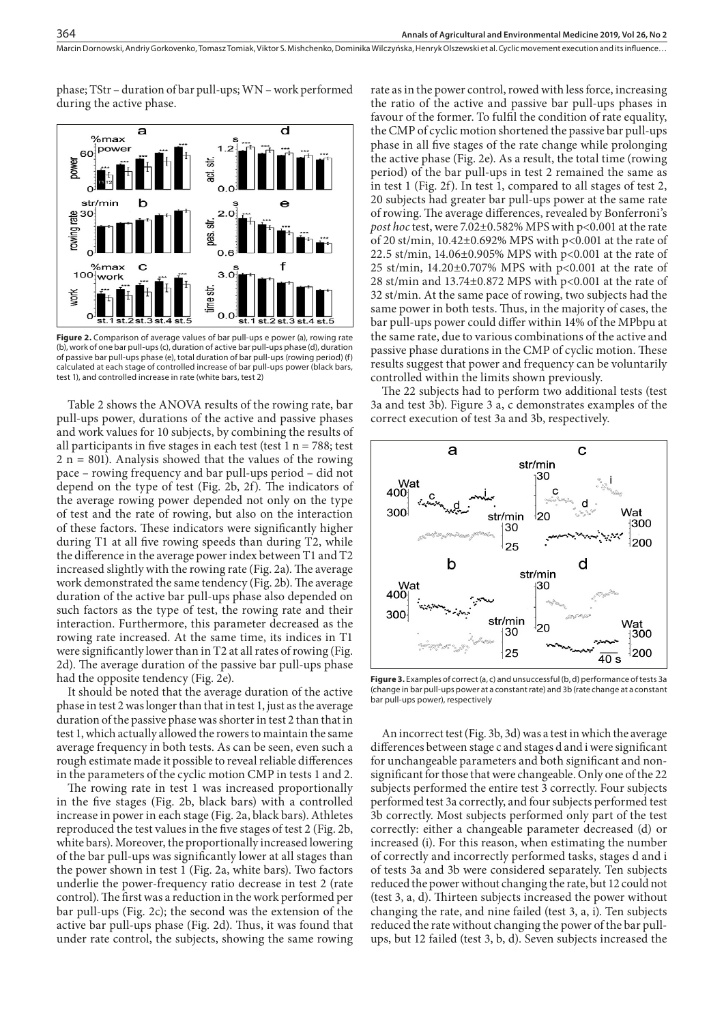phase; TStr – duration of bar pull-ups; WN – work performed during the active phase.

364



Figure 2. Comparison of average values of bar pull-ups e power (a), rowing rate (b), work of one bar pull-ups (c), duration of active bar pull-ups phase (d), duration of passive bar pull-ups phase (e), total duration of bar pull-ups (rowing period) (f) calculated at each stage of controlled increase of bar pull-ups power (black bars, test 1), and controlled increase in rate (white bars, test 2)

Table 2 shows the ANOVA results of the rowing rate, bar pull-ups power, durations of the active and passive phases and work values for 10 subjects, by combining the results of all participants in five stages in each test (test  $1 n = 788$ ; test  $2 n = 801$ ). Analysis showed that the values of the rowing pace – rowing frequency and bar pull-ups period – did not depend on the type of test (Fig. 2b, 2f). The indicators of the average rowing power depended not only on the type of test and the rate of rowing, but also on the interaction of these factors. These indicators were significantly higher during T1 at all five rowing speeds than during T2, while the difference in the average power index between T1 and T2 increased slightly with the rowing rate (Fig. 2a). The average work demonstrated the same tendency (Fig. 2b). The average duration of the active bar pull-ups phase also depended on such factors as the type of test, the rowing rate and their interaction. Furthermore, this parameter decreased as the rowing rate increased. At the same time, its indices in T1 were significantly lower than in T2 at all rates of rowing (Fig. 2d). The average duration of the passive bar pull-ups phase had the opposite tendency (Fig. 2e).

It should be noted that the average duration of the active phase in test 2 was longer than that in test 1, just as the average duration of the passive phase was shorter in test 2 than that in test 1, which actually allowed the rowers to maintain the same average frequency in both tests. As can be seen, even such a rough estimate made it possible to reveal reliable differences in the parameters of the cyclic motion CMP in tests 1 and 2.

The rowing rate in test 1 was increased proportionally in the five stages (Fig. 2b, black bars) with a controlled increase in power in each stage (Fig. 2a, black bars). Athletes reproduced the test values in the five stages of test 2 (Fig. 2b, white bars). Moreover, the proportionally increased lowering of the bar pull-ups was significantly lower at all stages than the power shown in test 1 (Fig. 2a, white bars). Two factors underlie the power-frequency ratio decrease in test 2 (rate control). The first was a reduction in the work performed per bar pull-ups (Fig. 2c); the second was the extension of the active bar pull-ups phase (Fig. 2d). Thus, it was found that under rate control, the subjects, showing the same rowing

rate as in the power control, rowed with less force, increasing the ratio of the active and passive bar pull-ups phases in favour of the former. To fulfil the condition of rate equality, the CMP of cyclic motion shortened the passive bar pull-ups phase in all five stages of the rate change while prolonging the active phase (Fig. 2e). As a result, the total time (rowing period) of the bar pull-ups in test 2 remained the same as in test 1 (Fig. 2f). In test 1, compared to all stages of test 2, 20 subjects had greater bar pull-ups power at the same rate of rowing. The average differences, revealed by Bonferroni's *post hoc* test, were 7.02±0.582% MPS with p<0.001 at the rate of 20 st/min, 10.42±0.692% MPS with p<0.001 at the rate of 22.5 st/min, 14.06±0.905% MPS with p<0.001 at the rate of 25 st/min, 14.20±0.707% MPS with p<0.001 at the rate of 28 st/min and 13.74±0.872 MPS with p<0.001 at the rate of 32 st/min. At the same pace of rowing, two subjects had the same power in both tests. Thus, in the majority of cases, the bar pull-ups power could differ within 14% of the MPbpu at the same rate, due to various combinations of the active and passive phase durations in the CMP of cyclic motion. These results suggest that power and frequency can be voluntarily controlled within the limits shown previously.

The 22 subjects had to perform two additional tests (test 3a and test 3b). Figure 3 a, c demonstrates examples of the correct execution of test 3a and 3b, respectively.



Figure 3. Examples of correct (a, c) and unsuccessful (b, d) performance of tests 3a (change in bar pull-ups power at a constant rate) and 3b (rate change at a constant bar pull-ups power), respectively

An incorrect test (Fig. 3b, 3d) was a test in which the average differences between stage c and stages d and i were significant for unchangeable parameters and both significant and nonsignificant for those that were changeable. Only one of the 22 subjects performed the entire test 3 correctly. Four subjects performed test 3a correctly, and four subjects performed test 3b correctly. Most subjects performed only part of the test correctly: either a changeable parameter decreased (d) or increased (i). For this reason, when estimating the number of correctly and incorrectly performed tasks, stages d and i of tests 3a and 3b were considered separately. Ten subjects reduced the power without changing the rate, but 12 could not (test 3, a, d). Thirteen subjects increased the power without changing the rate, and nine failed (test 3, a, i). Ten subjects reduced the rate without changing the power of the bar pullups, but 12 failed (test 3, b, d). Seven subjects increased the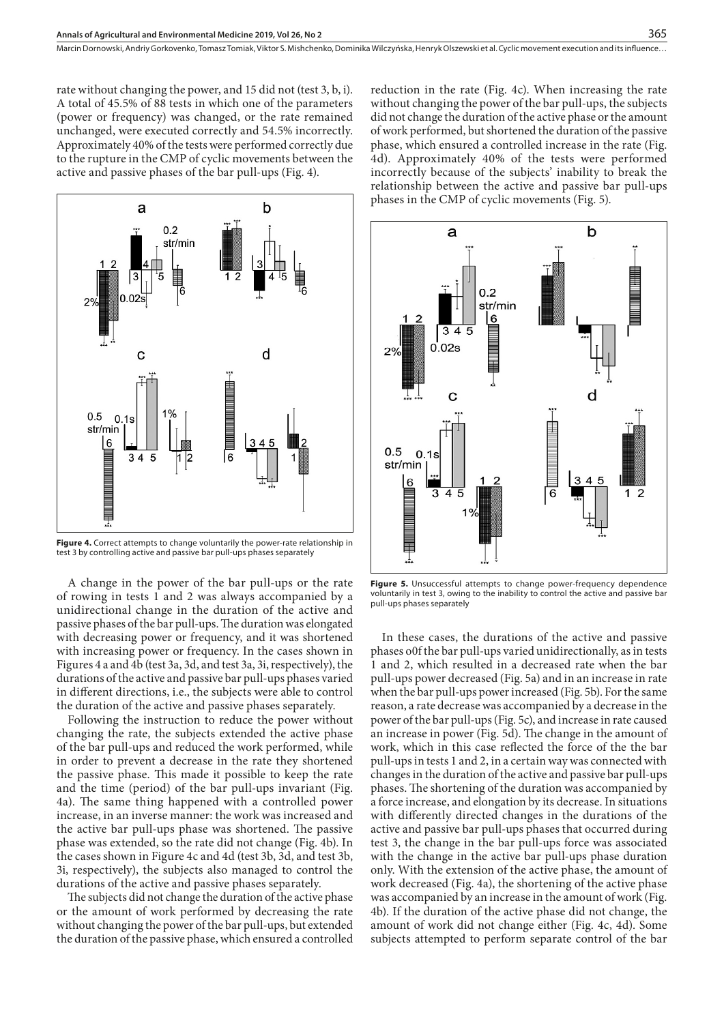rate without changing the power, and 15 did not (test 3, b, i). A total of 45.5% of 88 tests in which one of the parameters (power or frequency) was changed, or the rate remained unchanged, were executed correctly and 54.5% incorrectly. Approximately 40% of the tests were performed correctly due to the rupture in the CMP of cyclic movements between the active and passive phases of the bar pull-ups (Fig. 4).



**Figure 4.** Correct attempts to change voluntarily the power-rate relationship in test 3 by controlling active and passive bar pull-ups phases separately

A change in the power of the bar pull-ups or the rate of rowing in tests 1 and 2 was always accompanied by a unidirectional change in the duration of the active and passive phases of the bar pull-ups. The duration was elongated with decreasing power or frequency, and it was shortened with increasing power or frequency. In the cases shown in Figures 4 a and 4b (test 3a, 3d, and test 3a, 3i, respectively), the durations of the active and passive bar pull-ups phases varied in different directions, i.e., the subjects were able to control the duration of the active and passive phases separately.

Following the instruction to reduce the power without changing the rate, the subjects extended the active phase of the bar pull-ups and reduced the work performed, while in order to prevent a decrease in the rate they shortened the passive phase. This made it possible to keep the rate and the time (period) of the bar pull-ups invariant (Fig. 4a). The same thing happened with a controlled power increase, in an inverse manner: the work was increased and the active bar pull-ups phase was shortened. The passive phase was extended, so the rate did not change (Fig. 4b). In the cases shown in Figure 4c and 4d (test 3b, 3d, and test 3b, 3i, respectively), the subjects also managed to control the durations of the active and passive phases separately.

The subjects did not change the duration of the active phase or the amount of work performed by decreasing the rate without changing the power of the bar pull-ups, but extended the duration of the passive phase, which ensured a controlled

reduction in the rate (Fig. 4c). When increasing the rate without changing the power of the bar pull-ups, the subjects did not change the duration of the active phase or the amount of work performed, but shortened the duration of the passive phase, which ensured a controlled increase in the rate (Fig. 4d). Approximately 40% of the tests were performed incorrectly because of the subjects' inability to break the relationship between the active and passive bar pull-ups phases in the CMP of cyclic movements (Fig. 5).



**Figure 5.** Unsuccessful attempts to change power-frequency dependence voluntarily in test 3, owing to the inability to control the active and passive bar pull-ups phases separately

In these cases, the durations of the active and passive phases o0f the bar pull-ups varied unidirectionally, as in tests 1 and 2, which resulted in a decreased rate when the bar pull-ups power decreased (Fig. 5a) and in an increase in rate when the bar pull-ups power increased (Fig. 5b). For the same reason, a rate decrease was accompanied by a decrease in the power of the bar pull-ups (Fig. 5c), and increase in rate caused an increase in power (Fig. 5d). The change in the amount of work, which in this case reflected the force of the the bar pull-ups in tests 1 and 2, in a certain way was connected with changes in the duration of the active and passive bar pull-ups phases. The shortening of the duration was accompanied by a force increase, and elongation by its decrease. In situations with differently directed changes in the durations of the active and passive bar pull-ups phases that occurred during test 3, the change in the bar pull-ups force was associated with the change in the active bar pull-ups phase duration only. With the extension of the active phase, the amount of work decreased (Fig. 4a), the shortening of the active phase was accompanied by an increase in the amount of work (Fig. 4b). If the duration of the active phase did not change, the amount of work did not change either (Fig. 4c, 4d). Some subjects attempted to perform separate control of the bar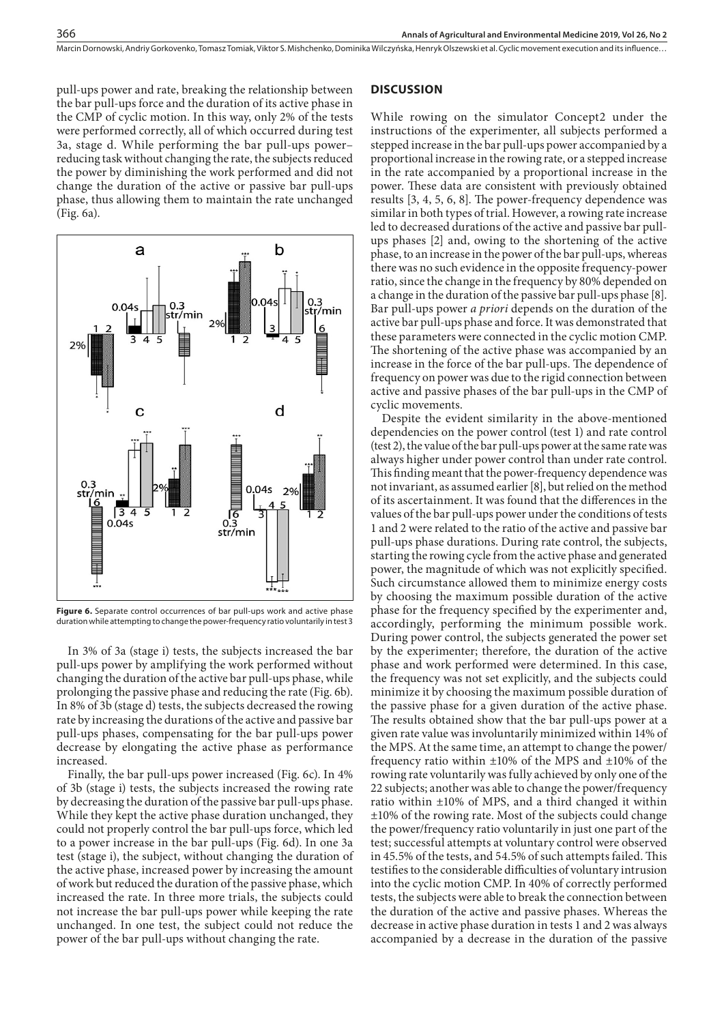pull-ups power and rate, breaking the relationship between the bar pull-ups force and the duration of its active phase in the CMP of cyclic motion. In this way, only 2% of the tests were performed correctly, all of which occurred during test 3a, stage d. While performing the bar pull-ups power– reducing task without changing the rate, the subjects reduced the power by diminishing the work performed and did not change the duration of the active or passive bar pull-ups phase, thus allowing them to maintain the rate unchanged (Fig. 6a).



Figure 6. Separate control occurrences of bar pull-ups work and active phase duration while attempting to change the power-frequency ratio voluntarily in test 3

In 3% of 3a (stage i) tests, the subjects increased the bar pull-ups power by amplifying the work performed without changing the duration of the active bar pull-ups phase, while prolonging the passive phase and reducing the rate (Fig. 6b). In 8% of 3b (stage d) tests, the subjects decreased the rowing rate by increasing the durations of the active and passive bar pull-ups phases, compensating for the bar pull-ups power decrease by elongating the active phase as performance increased.

Finally, the bar pull-ups power increased (Fig. 6c). In 4% of 3b (stage i) tests, the subjects increased the rowing rate by decreasing the duration of the passive bar pull-ups phase. While they kept the active phase duration unchanged, they could not properly control the bar pull-ups force, which led to a power increase in the bar pull-ups (Fig. 6d). In one 3a test (stage i), the subject, without changing the duration of the active phase, increased power by increasing the amount of work but reduced the duration of the passive phase, which increased the rate. In three more trials, the subjects could not increase the bar pull-ups power while keeping the rate unchanged. In one test, the subject could not reduce the power of the bar pull-ups without changing the rate.

### **DISCUSSION**

While rowing on the simulator Concept2 under the instructions of the experimenter, all subjects performed a stepped increase in the bar pull-ups power accompanied by a proportional increase in the rowing rate, or a stepped increase in the rate accompanied by a proportional increase in the power. These data are consistent with previously obtained results [3, 4, 5, 6, 8]. The power-frequency dependence was similar in both types of trial. However, a rowing rate increase led to decreased durations of the active and passive bar pullups phases [2] and, owing to the shortening of the active phase, to an increase in the power of the bar pull-ups, whereas there was no such evidence in the opposite frequency-power ratio, since the change in the frequency by 80% depended on a change in the duration of the passive bar pull-ups phase [8]. Bar pull-ups power *a priori* depends on the duration of the active bar pull-ups phase and force. It was demonstrated that these parameters were connected in the cyclic motion CMP. The shortening of the active phase was accompanied by an increase in the force of the bar pull-ups. The dependence of frequency on power was due to the rigid connection between active and passive phases of the bar pull-ups in the CMP of cyclic movements.

Despite the evident similarity in the above-mentioned dependencies on the power control (test 1) and rate control (test 2), the value of the bar pull-ups power at the same rate was always higher under power control than under rate control. This finding meant that the power-frequency dependence was not invariant, as assumed earlier [8], but relied on the method of its ascertainment. It was found that the differences in the values of the bar pull-ups power under the conditions of tests 1 and 2 were related to the ratio of the active and passive bar pull-ups phase durations. During rate control, the subjects, starting the rowing cycle from the active phase and generated power, the magnitude of which was not explicitly specified. Such circumstance allowed them to minimize energy costs by choosing the maximum possible duration of the active phase for the frequency specified by the experimenter and, accordingly, performing the minimum possible work. During power control, the subjects generated the power set by the experimenter; therefore, the duration of the active phase and work performed were determined. In this case, the frequency was not set explicitly, and the subjects could minimize it by choosing the maximum possible duration of the passive phase for a given duration of the active phase. The results obtained show that the bar pull-ups power at a given rate value was involuntarily minimized within 14% of the MPS. At the same time, an attempt to change the power/ frequency ratio within ±10% of the MPS and ±10% of the rowing rate voluntarily was fully achieved by only one of the 22 subjects; another was able to change the power/frequency ratio within ±10% of MPS, and a third changed it within ±10% of the rowing rate. Most of the subjects could change the power/frequency ratio voluntarily in just one part of the test; successful attempts at voluntary control were observed in 45.5% of the tests, and 54.5% of such attempts failed. This testifies to the considerable difficulties of voluntary intrusion into the cyclic motion CMP. In 40% of correctly performed tests, the subjects were able to break the connection between the duration of the active and passive phases. Whereas the decrease in active phase duration in tests 1 and 2 was always accompanied by a decrease in the duration of the passive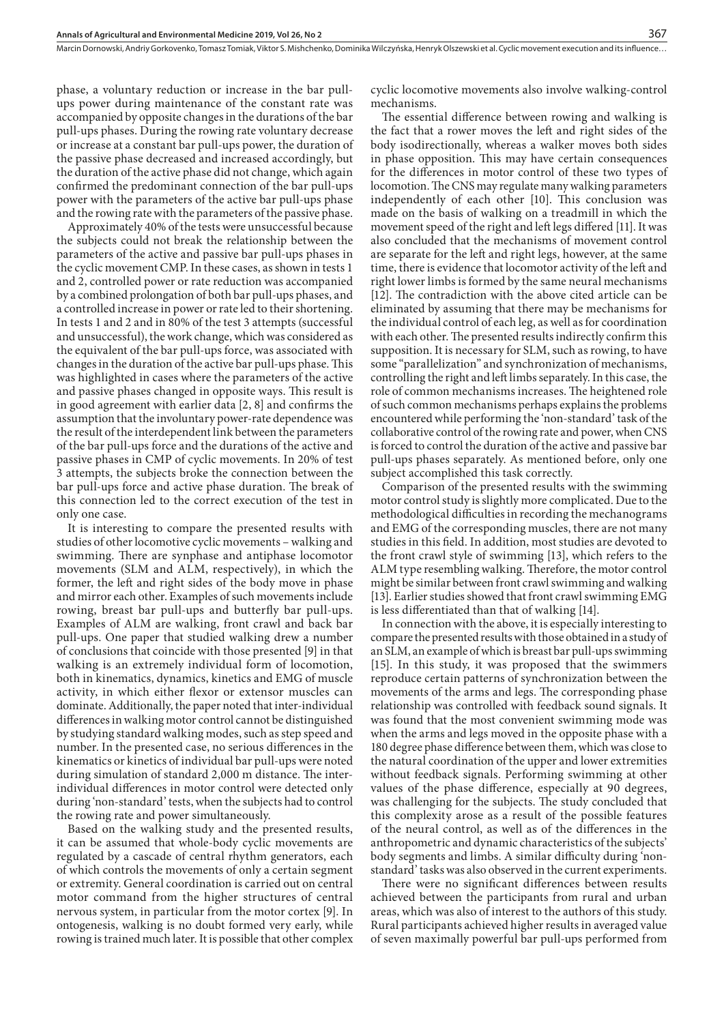phase, a voluntary reduction or increase in the bar pullups power during maintenance of the constant rate was accompanied by opposite changes in the durations of the bar pull-ups phases. During the rowing rate voluntary decrease or increase at a constant bar pull-ups power, the duration of the passive phase decreased and increased accordingly, but the duration of the active phase did not change, which again confirmed the predominant connection of the bar pull-ups power with the parameters of the active bar pull-ups phase and the rowing rate with the parameters of the passive phase.

Approximately 40% of the tests were unsuccessful because the subjects could not break the relationship between the parameters of the active and passive bar pull-ups phases in the cyclic movement CMP. In these cases, as shown in tests 1 and 2, controlled power or rate reduction was accompanied by a combined prolongation of both bar pull-ups phases, and a controlled increase in power or rate led to their shortening. In tests 1 and 2 and in 80% of the test 3 attempts (successful and unsuccessful), the work change, which was considered as the equivalent of the bar pull-ups force, was associated with changes in the duration of the active bar pull-ups phase. This was highlighted in cases where the parameters of the active and passive phases changed in opposite ways. This result is in good agreement with earlier data [2, 8] and confirms the assumption that the involuntary power-rate dependence was the result of the interdependent link between the parameters of the bar pull-ups force and the durations of the active and passive phases in CMP of cyclic movements. In 20% of test 3 attempts, the subjects broke the connection between the bar pull-ups force and active phase duration. The break of this connection led to the correct execution of the test in only one case.

It is interesting to compare the presented results with studies of other locomotive cyclic movements – walking and swimming. There are synphase and antiphase locomotor movements (SLM and ALM, respectively), in which the former, the left and right sides of the body move in phase and mirror each other. Examples of such movements include rowing, breast bar pull-ups and butterfly bar pull-ups. Examples of ALM are walking, front crawl and back bar pull-ups. One paper that studied walking drew a number of conclusions that coincide with those presented [9] in that walking is an extremely individual form of locomotion, both in kinematics, dynamics, kinetics and EMG of muscle activity, in which either flexor or extensor muscles can dominate. Additionally, the paper noted that inter-individual differences in walking motor control cannot be distinguished by studying standard walking modes, such as step speed and number. In the presented case, no serious differences in the kinematics or kinetics of individual bar pull-ups were noted during simulation of standard 2,000 m distance. The interindividual differences in motor control were detected only during 'non-standard' tests, when the subjects had to control the rowing rate and power simultaneously.

Based on the walking study and the presented results, it can be assumed that whole-body cyclic movements are regulated by a cascade of central rhythm generators, each of which controls the movements of only a certain segment or extremity. General coordination is carried out on central motor command from the higher structures of central nervous system, in particular from the motor cortex [9]. In ontogenesis, walking is no doubt formed very early, while rowing is trained much later. It is possible that other complex cyclic locomotive movements also involve walking-control mechanisms.

367

The essential difference between rowing and walking is the fact that a rower moves the left and right sides of the body isodirectionally, whereas a walker moves both sides in phase opposition. This may have certain consequences for the differences in motor control of these two types of locomotion. The CNS may regulate many walking parameters independently of each other [10]. This conclusion was made on the basis of walking on a treadmill in which the movement speed of the right and left legs differed [11]. It was also concluded that the mechanisms of movement control are separate for the left and right legs, however, at the same time, there is evidence that locomotor activity of the left and right lower limbs is formed by the same neural mechanisms [12]. The contradiction with the above cited article can be eliminated by assuming that there may be mechanisms for the individual control of each leg, as well as for coordination with each other. The presented results indirectly confirm this supposition. It is necessary for SLM, such as rowing, to have some "parallelization" and synchronization of mechanisms, controlling the right and left limbs separately. In this case, the role of common mechanisms increases. The heightened role of such common mechanisms perhaps explains the problems encountered while performing the 'non-standard' task of the collaborative control of the rowing rate and power, when CNS is forced to control the duration of the active and passive bar pull-ups phases separately. As mentioned before, only one subject accomplished this task correctly.

Comparison of the presented results with the swimming motor control study is slightly more complicated. Due to the methodological difficulties in recording the mechanograms and EMG of the corresponding muscles, there are not many studies in this field. In addition, most studies are devoted to the front crawl style of swimming [13], which refers to the ALM type resembling walking. Therefore, the motor control might be similar between front crawl swimming and walking [13]. Earlier studies showed that front crawl swimming EMG is less differentiated than that of walking [14].

In connection with the above, it is especially interesting to compare the presented results with those obtained in a study of an SLM, an example of which is breast bar pull-ups swimming [15]. In this study, it was proposed that the swimmers reproduce certain patterns of synchronization between the movements of the arms and legs. The corresponding phase relationship was controlled with feedback sound signals. It was found that the most convenient swimming mode was when the arms and legs moved in the opposite phase with a 180 degree phase difference between them, which was close to the natural coordination of the upper and lower extremities without feedback signals. Performing swimming at other values of the phase difference, especially at 90 degrees, was challenging for the subjects. The study concluded that this complexity arose as a result of the possible features of the neural control, as well as of the differences in the anthropometric and dynamic characteristics of the subjects' body segments and limbs. A similar difficulty during 'nonstandard' tasks was also observed in the current experiments.

There were no significant differences between results achieved between the participants from rural and urban areas, which was also of interest to the authors of this study. Rural participants achieved higher results in averaged value of seven maximally powerful bar pull-ups performed from